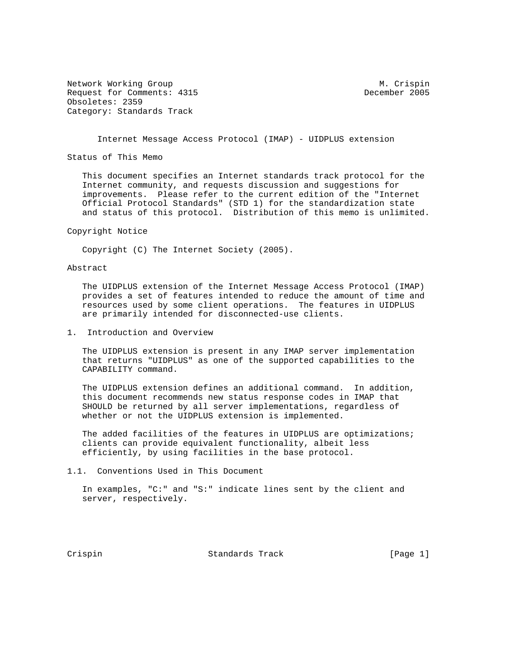Network Working Group Metwork Muslim Crispin Request for Comments: 4315 December 2005 Obsoletes: 2359 Category: Standards Track

Internet Message Access Protocol (IMAP) - UIDPLUS extension

Status of This Memo

 This document specifies an Internet standards track protocol for the Internet community, and requests discussion and suggestions for improvements. Please refer to the current edition of the "Internet Official Protocol Standards" (STD 1) for the standardization state and status of this protocol. Distribution of this memo is unlimited.

Copyright Notice

Copyright (C) The Internet Society (2005).

## Abstract

 The UIDPLUS extension of the Internet Message Access Protocol (IMAP) provides a set of features intended to reduce the amount of time and resources used by some client operations. The features in UIDPLUS are primarily intended for disconnected-use clients.

1. Introduction and Overview

 The UIDPLUS extension is present in any IMAP server implementation that returns "UIDPLUS" as one of the supported capabilities to the CAPABILITY command.

 The UIDPLUS extension defines an additional command. In addition, this document recommends new status response codes in IMAP that SHOULD be returned by all server implementations, regardless of whether or not the UIDPLUS extension is implemented.

 The added facilities of the features in UIDPLUS are optimizations; clients can provide equivalent functionality, albeit less efficiently, by using facilities in the base protocol.

1.1. Conventions Used in This Document

 In examples, "C:" and "S:" indicate lines sent by the client and server, respectively.

Crispin Crispin Standards Track [Page 1]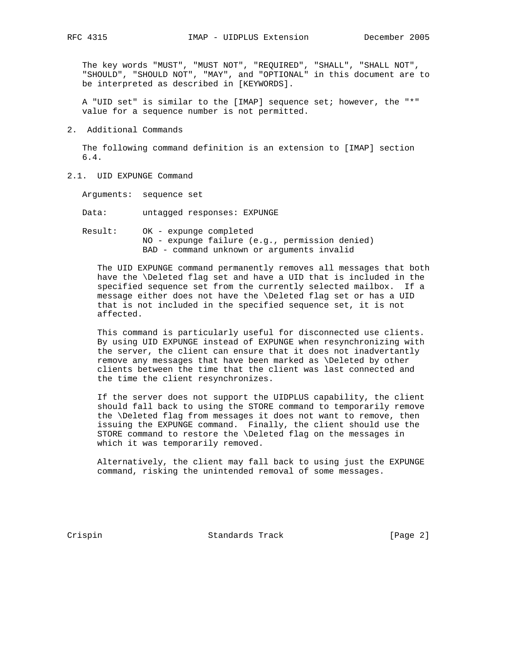The key words "MUST", "MUST NOT", "REQUIRED", "SHALL", "SHALL NOT", "SHOULD", "SHOULD NOT", "MAY", and "OPTIONAL" in this document are to be interpreted as described in [KEYWORDS].

 A "UID set" is similar to the [IMAP] sequence set; however, the "\*" value for a sequence number is not permitted.

2. Additional Commands

 The following command definition is an extension to [IMAP] section 6.4.

2.1. UID EXPUNGE Command

Arguments: sequence set

Data: untagged responses: EXPUNGE

 Result: OK - expunge completed NO - expunge failure (e.g., permission denied) BAD - command unknown or arguments invalid

 The UID EXPUNGE command permanently removes all messages that both have the \Deleted flag set and have a UID that is included in the specified sequence set from the currently selected mailbox. If a message either does not have the \Deleted flag set or has a UID that is not included in the specified sequence set, it is not affected.

 This command is particularly useful for disconnected use clients. By using UID EXPUNGE instead of EXPUNGE when resynchronizing with the server, the client can ensure that it does not inadvertantly remove any messages that have been marked as \Deleted by other clients between the time that the client was last connected and the time the client resynchronizes.

 If the server does not support the UIDPLUS capability, the client should fall back to using the STORE command to temporarily remove the \Deleted flag from messages it does not want to remove, then issuing the EXPUNGE command. Finally, the client should use the STORE command to restore the \Deleted flag on the messages in which it was temporarily removed.

 Alternatively, the client may fall back to using just the EXPUNGE command, risking the unintended removal of some messages.

Crispin Crispin Standards Track [Page 2]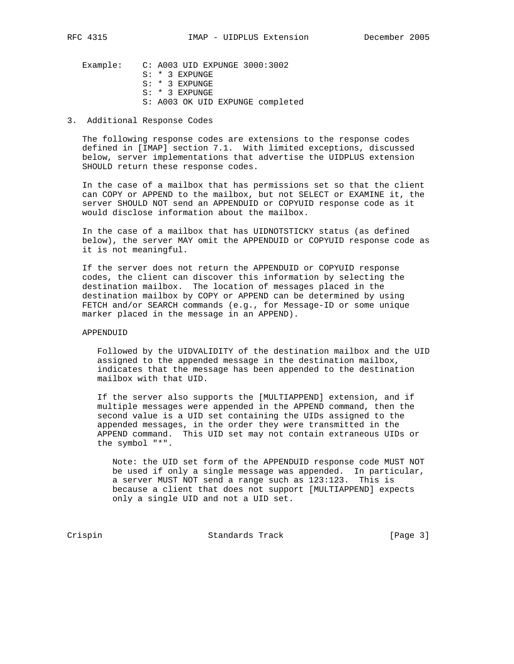Example: C: A003 UID EXPUNGE 3000:3002 S: \* 3 EXPUNGE S: \* 3 EXPUNGE S: \* 3 EXPUNGE S: A003 OK UID EXPUNGE completed

## 3. Additional Response Codes

 The following response codes are extensions to the response codes defined in [IMAP] section 7.1. With limited exceptions, discussed below, server implementations that advertise the UIDPLUS extension SHOULD return these response codes.

 In the case of a mailbox that has permissions set so that the client can COPY or APPEND to the mailbox, but not SELECT or EXAMINE it, the server SHOULD NOT send an APPENDUID or COPYUID response code as it would disclose information about the mailbox.

 In the case of a mailbox that has UIDNOTSTICKY status (as defined below), the server MAY omit the APPENDUID or COPYUID response code as it is not meaningful.

 If the server does not return the APPENDUID or COPYUID response codes, the client can discover this information by selecting the destination mailbox. The location of messages placed in the destination mailbox by COPY or APPEND can be determined by using FETCH and/or SEARCH commands (e.g., for Message-ID or some unique marker placed in the message in an APPEND).

APPENDUID

 Followed by the UIDVALIDITY of the destination mailbox and the UID assigned to the appended message in the destination mailbox, indicates that the message has been appended to the destination mailbox with that UID.

 If the server also supports the [MULTIAPPEND] extension, and if multiple messages were appended in the APPEND command, then the second value is a UID set containing the UIDs assigned to the appended messages, in the order they were transmitted in the APPEND command. This UID set may not contain extraneous UIDs or the symbol "\*".

 Note: the UID set form of the APPENDUID response code MUST NOT be used if only a single message was appended. In particular, a server MUST NOT send a range such as 123:123. This is because a client that does not support [MULTIAPPEND] expects only a single UID and not a UID set.

Crispin Standards Track [Page 3]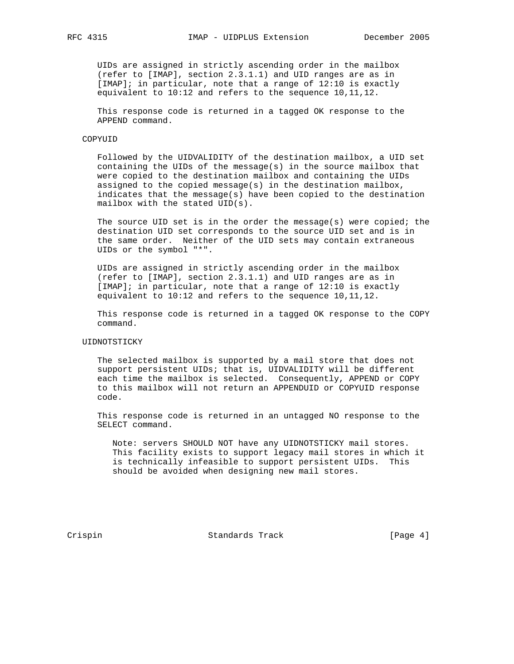UIDs are assigned in strictly ascending order in the mailbox (refer to [IMAP], section 2.3.1.1) and UID ranges are as in [IMAP]; in particular, note that a range of 12:10 is exactly equivalent to 10:12 and refers to the sequence 10,11,12.

 This response code is returned in a tagged OK response to the APPEND command.

## COPYUID

 Followed by the UIDVALIDITY of the destination mailbox, a UID set containing the UIDs of the message(s) in the source mailbox that were copied to the destination mailbox and containing the UIDs assigned to the copied message(s) in the destination mailbox, indicates that the message(s) have been copied to the destination mailbox with the stated UID(s).

The source UID set is in the order the message(s) were copied; the destination UID set corresponds to the source UID set and is in the same order. Neither of the UID sets may contain extraneous UIDs or the symbol "\*".

 UIDs are assigned in strictly ascending order in the mailbox (refer to [IMAP], section 2.3.1.1) and UID ranges are as in [IMAP]; in particular, note that a range of 12:10 is exactly equivalent to 10:12 and refers to the sequence 10,11,12.

 This response code is returned in a tagged OK response to the COPY command.

## UIDNOTSTICKY

 The selected mailbox is supported by a mail store that does not support persistent UIDs; that is, UIDVALIDITY will be different each time the mailbox is selected. Consequently, APPEND or COPY to this mailbox will not return an APPENDUID or COPYUID response code.

 This response code is returned in an untagged NO response to the SELECT command.

 Note: servers SHOULD NOT have any UIDNOTSTICKY mail stores. This facility exists to support legacy mail stores in which it is technically infeasible to support persistent UIDs. This should be avoided when designing new mail stores.

Crispin Crispin Standards Track [Page 4]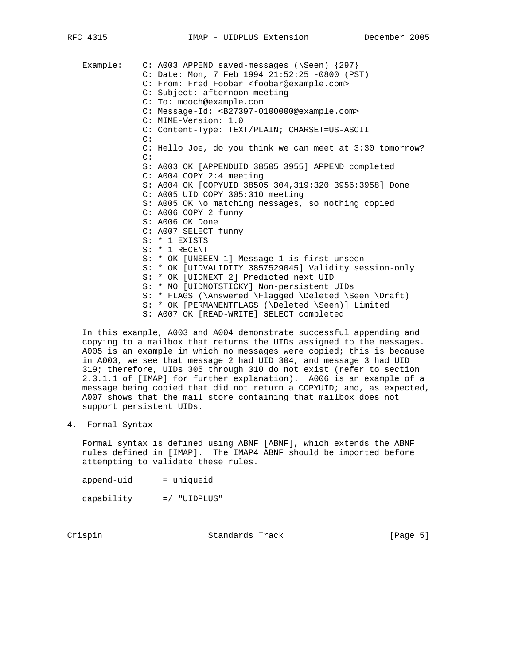Example: C: A003 APPEND saved-messages (\Seen) {297} C: Date: Mon, 7 Feb 1994 21:52:25 -0800 (PST) C: From: Fred Foobar <foobar@example.com> C: Subject: afternoon meeting C: To: mooch@example.com C: Message-Id: <B27397-0100000@example.com> C: MIME-Version: 1.0 C: Content-Type: TEXT/PLAIN; CHARSET=US-ASCII C: C: Hello Joe, do you think we can meet at 3:30 tomorrow? C: S: A003 OK [APPENDUID 38505 3955] APPEND completed C: A004 COPY 2:4 meeting S: A004 OK [COPYUID 38505 304,319:320 3956:3958] Done C: A005 UID COPY 305:310 meeting S: A005 OK No matching messages, so nothing copied C: A006 COPY 2 funny S: A006 OK Done C: A007 SELECT funny S: \* 1 EXISTS S: \* 1 RECENT S: \* OK [UNSEEN 1] Message 1 is first unseen S: \* OK [UIDVALIDITY 3857529045] Validity session-only S: \* OK [UIDNEXT 2] Predicted next UID S: \* NO [UIDNOTSTICKY] Non-persistent UIDs S: \* FLAGS (\Answered \Flagged \Deleted \Seen \Draft) S: \* OK [PERMANENTFLAGS (\Deleted \Seen)] Limited S: A007 OK [READ-WRITE] SELECT completed

 In this example, A003 and A004 demonstrate successful appending and copying to a mailbox that returns the UIDs assigned to the messages. A005 is an example in which no messages were copied; this is because in A003, we see that message 2 had UID 304, and message 3 had UID 319; therefore, UIDs 305 through 310 do not exist (refer to section 2.3.1.1 of [IMAP] for further explanation). A006 is an example of a message being copied that did not return a COPYUID; and, as expected, A007 shows that the mail store containing that mailbox does not support persistent UIDs.

4. Formal Syntax

 Formal syntax is defined using ABNF [ABNF], which extends the ABNF rules defined in [IMAP]. The IMAP4 ABNF should be imported before attempting to validate these rules.

append-uid = uniqueid

capability =/ "UIDPLUS"

Crispin Crispin Standards Track [Page 5]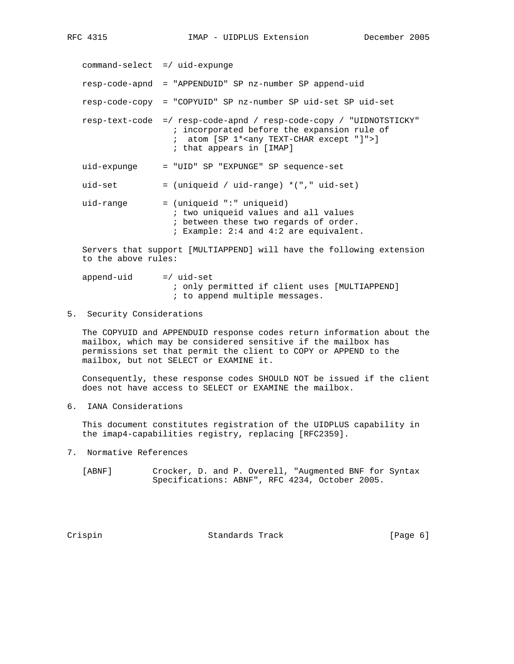command-select =/ uid-expunge resp-code-apnd = "APPENDUID" SP nz-number SP append-uid resp-code-copy = "COPYUID" SP nz-number SP uid-set SP uid-set resp-text-code =/ resp-code-apnd / resp-code-copy / "UIDNOTSTICKY" ; incorporated before the expansion rule of ; atom [SP 1\*<any TEXT-CHAR except "]">] ; that appears in [IMAP] uid-expunge = "UID" SP "EXPUNGE" SP sequence-set uid-set = (uniqueid / uid-range) \*("," uid-set)  $uid-range$  = (uniqueid ":" uniqueid) ; two uniqueid values and all values ; between these two regards of order. ; Example: 2:4 and 4:2 are equivalent. Servers that support [MULTIAPPEND] will have the following extension to the above rules:

 $append-uid = /uid-set$  ; only permitted if client uses [MULTIAPPEND] ; to append multiple messages.

5. Security Considerations

 The COPYUID and APPENDUID response codes return information about the mailbox, which may be considered sensitive if the mailbox has permissions set that permit the client to COPY or APPEND to the mailbox, but not SELECT or EXAMINE it.

 Consequently, these response codes SHOULD NOT be issued if the client does not have access to SELECT or EXAMINE the mailbox.

6. IANA Considerations

 This document constitutes registration of the UIDPLUS capability in the imap4-capabilities registry, replacing [RFC2359].

7. Normative References

 [ABNF] Crocker, D. and P. Overell, "Augmented BNF for Syntax Specifications: ABNF", RFC 4234, October 2005.

Crispin Crispin Standards Track [Page 6]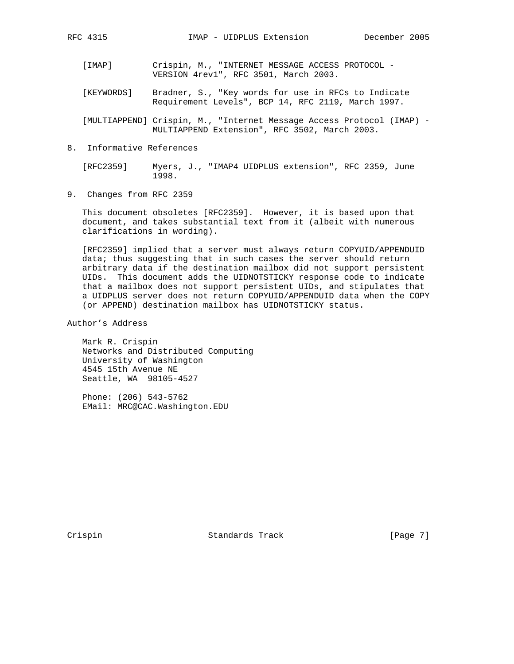- [IMAP] Crispin, M., "INTERNET MESSAGE ACCESS PROTOCOL VERSION 4rev1", RFC 3501, March 2003.
- [KEYWORDS] Bradner, S., "Key words for use in RFCs to Indicate Requirement Levels", BCP 14, RFC 2119, March 1997.

 [MULTIAPPEND] Crispin, M., "Internet Message Access Protocol (IMAP) - MULTIAPPEND Extension", RFC 3502, March 2003.

8. Informative References

 [RFC2359] Myers, J., "IMAP4 UIDPLUS extension", RFC 2359, June 1998.

9. Changes from RFC 2359

 This document obsoletes [RFC2359]. However, it is based upon that document, and takes substantial text from it (albeit with numerous clarifications in wording).

 [RFC2359] implied that a server must always return COPYUID/APPENDUID data; thus suggesting that in such cases the server should return arbitrary data if the destination mailbox did not support persistent UIDs. This document adds the UIDNOTSTICKY response code to indicate that a mailbox does not support persistent UIDs, and stipulates that a UIDPLUS server does not return COPYUID/APPENDUID data when the COPY (or APPEND) destination mailbox has UIDNOTSTICKY status.

Author's Address

 Mark R. Crispin Networks and Distributed Computing University of Washington 4545 15th Avenue NE Seattle, WA 98105-4527

 Phone: (206) 543-5762 EMail: MRC@CAC.Washington.EDU

Crispin Crispin Standards Track [Page 7]